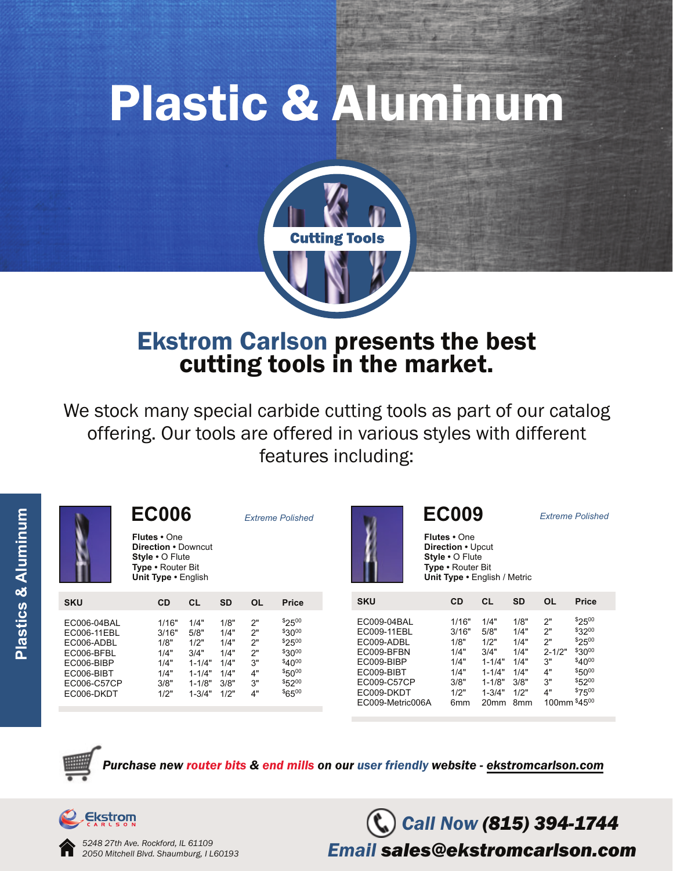# Plastic & Aluminum



# Ekstrom Carlson presents the best cutting tools in the market.

We stock many special carbide cutting tools as part of our catalog offering. Our tools are offered in various styles with different features including:

|                                                                                                                 | <b>EC006</b><br><b>Flutes</b> • One<br><b>Direction • Downcut</b><br>Style • O Flute<br>Type • Router Bit<br>Unit Type • English |                                                                                      |                                                              | <b>Extreme Polished</b>                      |                                                                                                  |                                                                                                                                     | <b>EC009</b><br><b>Flutes</b> • One<br>Direction • Upcut<br>Style • O Flute<br>Type • Router Bit<br>Unit Type . English / Metric |                                                                                                          |                                                                                 | <b>Extreme Polished</b>                              |                                                                                                              |
|-----------------------------------------------------------------------------------------------------------------|----------------------------------------------------------------------------------------------------------------------------------|--------------------------------------------------------------------------------------|--------------------------------------------------------------|----------------------------------------------|--------------------------------------------------------------------------------------------------|-------------------------------------------------------------------------------------------------------------------------------------|----------------------------------------------------------------------------------------------------------------------------------|----------------------------------------------------------------------------------------------------------|---------------------------------------------------------------------------------|------------------------------------------------------|--------------------------------------------------------------------------------------------------------------|
|                                                                                                                 |                                                                                                                                  |                                                                                      |                                                              |                                              |                                                                                                  |                                                                                                                                     |                                                                                                                                  |                                                                                                          |                                                                                 |                                                      |                                                                                                              |
| <b>SKU</b>                                                                                                      | <b>CD</b>                                                                                                                        | <b>CL</b>                                                                            | <b>SD</b>                                                    | <b>OL</b>                                    | <b>Price</b>                                                                                     | <b>SKU</b>                                                                                                                          | <b>CD</b>                                                                                                                        | <b>CL</b>                                                                                                | <b>SD</b>                                                                       | <b>OL</b>                                            | <b>Price</b>                                                                                                 |
| EC006-04BAL<br>EC006-11EBL<br>EC006-ADBL<br>EC006-BFBL<br>EC006-BIBP<br>EC006-BIBT<br>EC006-C57CP<br>EC006-DKDT | 1/16"<br>3/16"<br>1/8"<br>1/4"<br>1/4"<br>1/4"<br>3/8"<br>1/2"                                                                   | 1/4"<br>5/8"<br>1/2"<br>3/4"<br>$1 - 1/4"$<br>$1 - 1/4"$<br>$1 - 1/8"$<br>$1 - 3/4"$ | 1/8"<br>1/4"<br>1/4"<br>1/4"<br>1/4"<br>1/4"<br>3/8"<br>1/2" | 2"<br>2"<br>2"<br>2"<br>3"<br>4"<br>3"<br>4" | $$25^{00}$<br>$$30^{00}$<br>\$2500<br>$$30^{00}$<br>\$4000<br>$$50^{00}$<br>\$5200<br>$$65^{00}$ | EC009-04BAL<br>EC009-11EBL<br>EC009-ADBL<br>EC009-BFBN<br>EC009-BIBP<br>EC009-BIBT<br>EC009-C57CP<br>EC009-DKDT<br>EC009-Metric006A | 1/16"<br>3/16"<br>1/8"<br>1/4"<br>1/4"<br>1/4"<br>3/8"<br>1/2"<br>6 <sub>mm</sub>                                                | 1/4"<br>5/8"<br>1/2"<br>3/4"<br>$1 - 1/4"$<br>$1 - 1/4"$<br>$1 - 1/8"$<br>$1 - 3/4"$<br>20 <sub>mm</sub> | 1/8"<br>1/4"<br>1/4"<br>1/4"<br>1/4"<br>1/4"<br>3/8"<br>1/2"<br>8 <sub>mm</sub> | 2"<br>2"<br>2"<br>$2 - 1/2"$<br>3"<br>4"<br>3"<br>4" | $$25^{00}$<br>$$32^{00}$<br>\$2500<br>$$30^{00}$<br>\$4000<br>\$5000<br>$$52^{00}$<br>\$7500<br>100mm \$4500 |

*Purater bits & end mills on our user friendly website - ekstromcarlson.com* 

*Call Now (815) 394-1744*

*Email sales@ekstromcarlson.com*



*5248 27th Ave. Rockford, IL 61109 2050 Mitchell Blvd. Shaumburg, I L60193*